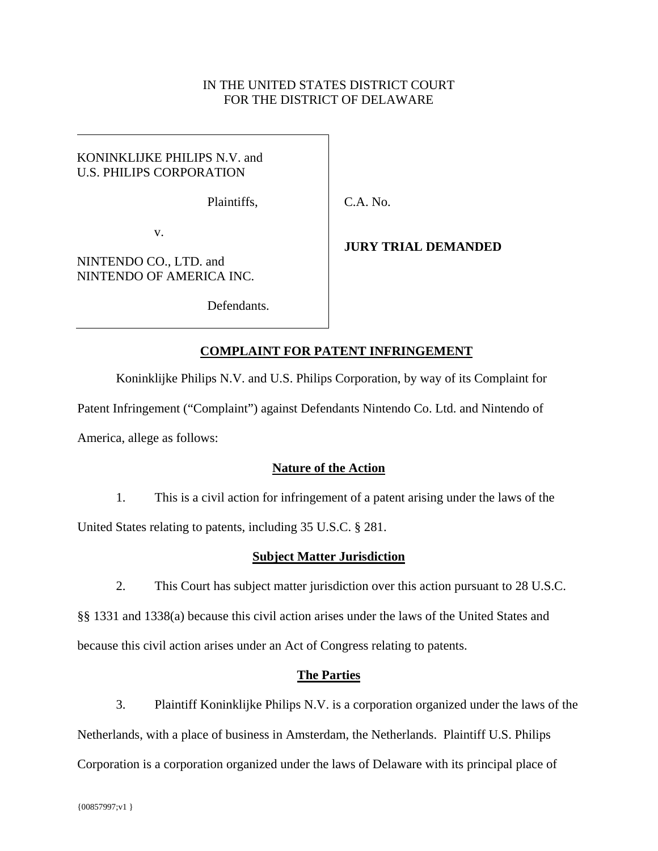## IN THE UNITED STATES DISTRICT COURT FOR THE DISTRICT OF DELAWARE

### KONINKLIJKE PHILIPS N.V. and U.S. PHILIPS CORPORATION

Plaintiffs,

C.A. No.

v.

NINTENDO CO., LTD. and NINTENDO OF AMERICA INC.

Defendants.

# **JURY TRIAL DEMANDED**

# **COMPLAINT FOR PATENT INFRINGEMENT**

Koninklijke Philips N.V. and U.S. Philips Corporation, by way of its Complaint for

Patent Infringement ("Complaint") against Defendants Nintendo Co. Ltd. and Nintendo of

America, allege as follows:

# **Nature of the Action**

1. This is a civil action for infringement of a patent arising under the laws of the United States relating to patents, including 35 U.S.C. § 281.

# **Subject Matter Jurisdiction**

2. This Court has subject matter jurisdiction over this action pursuant to 28 U.S.C.

§§ 1331 and 1338(a) because this civil action arises under the laws of the United States and because this civil action arises under an Act of Congress relating to patents.

# **The Parties**

3. Plaintiff Koninklijke Philips N.V. is a corporation organized under the laws of the Netherlands, with a place of business in Amsterdam, the Netherlands. Plaintiff U.S. Philips Corporation is a corporation organized under the laws of Delaware with its principal place of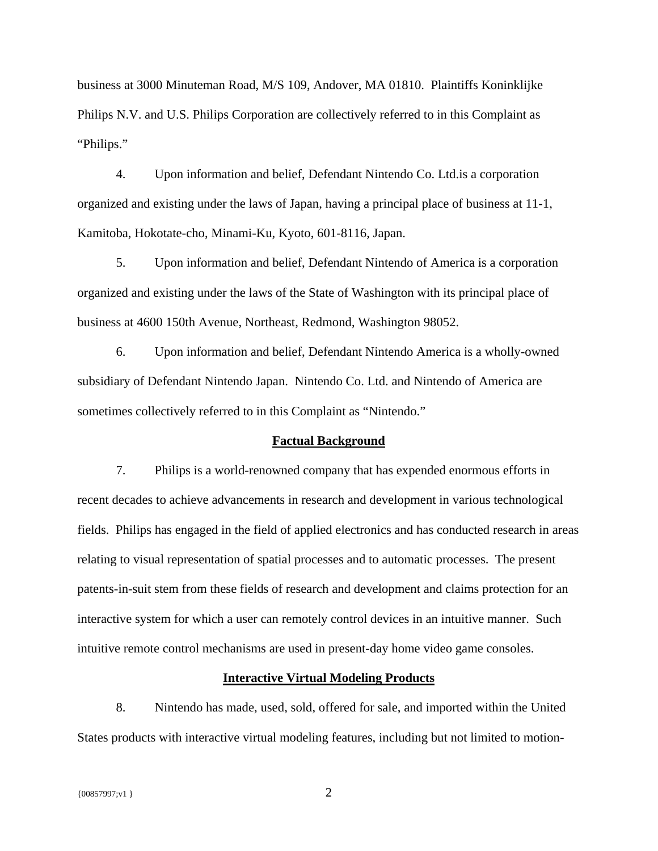business at 3000 Minuteman Road, M/S 109, Andover, MA 01810. Plaintiffs Koninklijke Philips N.V. and U.S. Philips Corporation are collectively referred to in this Complaint as "Philips."

4. Upon information and belief, Defendant Nintendo Co. Ltd.is a corporation organized and existing under the laws of Japan, having a principal place of business at 11-1, Kamitoba, Hokotate-cho, Minami-Ku, Kyoto, 601-8116, Japan.

5. Upon information and belief, Defendant Nintendo of America is a corporation organized and existing under the laws of the State of Washington with its principal place of business at 4600 150th Avenue, Northeast, Redmond, Washington 98052.

6. Upon information and belief, Defendant Nintendo America is a wholly-owned subsidiary of Defendant Nintendo Japan. Nintendo Co. Ltd. and Nintendo of America are sometimes collectively referred to in this Complaint as "Nintendo."

#### **Factual Background**

7. Philips is a world-renowned company that has expended enormous efforts in recent decades to achieve advancements in research and development in various technological fields. Philips has engaged in the field of applied electronics and has conducted research in areas relating to visual representation of spatial processes and to automatic processes. The present patents-in-suit stem from these fields of research and development and claims protection for an interactive system for which a user can remotely control devices in an intuitive manner. Such intuitive remote control mechanisms are used in present-day home video game consoles.

#### **Interactive Virtual Modeling Products**

8. Nintendo has made, used, sold, offered for sale, and imported within the United States products with interactive virtual modeling features, including but not limited to motion-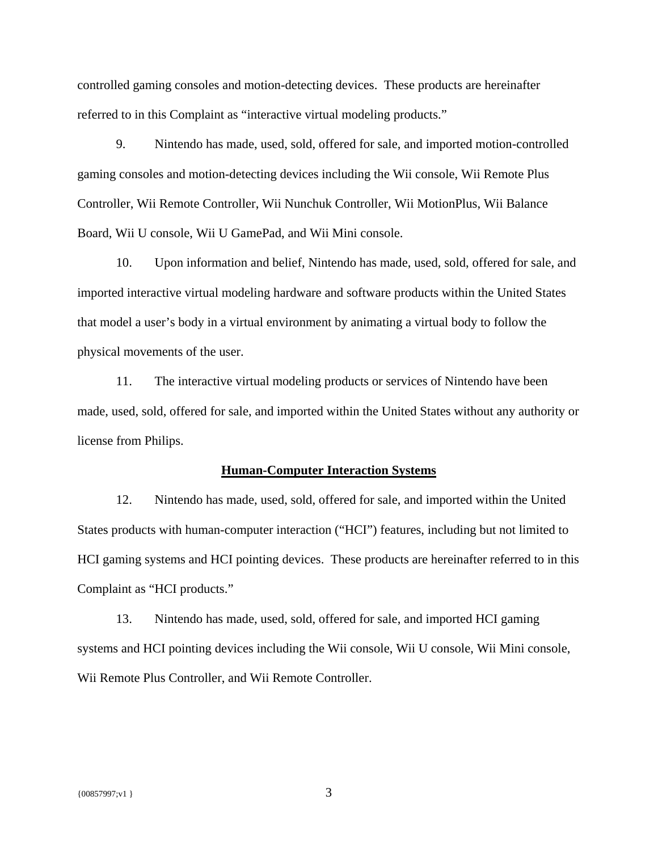controlled gaming consoles and motion-detecting devices. These products are hereinafter referred to in this Complaint as "interactive virtual modeling products."

9. Nintendo has made, used, sold, offered for sale, and imported motion-controlled gaming consoles and motion-detecting devices including the Wii console, Wii Remote Plus Controller, Wii Remote Controller, Wii Nunchuk Controller, Wii MotionPlus, Wii Balance Board, Wii U console, Wii U GamePad, and Wii Mini console.

10. Upon information and belief, Nintendo has made, used, sold, offered for sale, and imported interactive virtual modeling hardware and software products within the United States that model a user's body in a virtual environment by animating a virtual body to follow the physical movements of the user.

11. The interactive virtual modeling products or services of Nintendo have been made, used, sold, offered for sale, and imported within the United States without any authority or license from Philips.

#### **Human-Computer Interaction Systems**

12. Nintendo has made, used, sold, offered for sale, and imported within the United States products with human-computer interaction ("HCI") features, including but not limited to HCI gaming systems and HCI pointing devices. These products are hereinafter referred to in this Complaint as "HCI products."

13. Nintendo has made, used, sold, offered for sale, and imported HCI gaming systems and HCI pointing devices including the Wii console, Wii U console, Wii Mini console, Wii Remote Plus Controller, and Wii Remote Controller.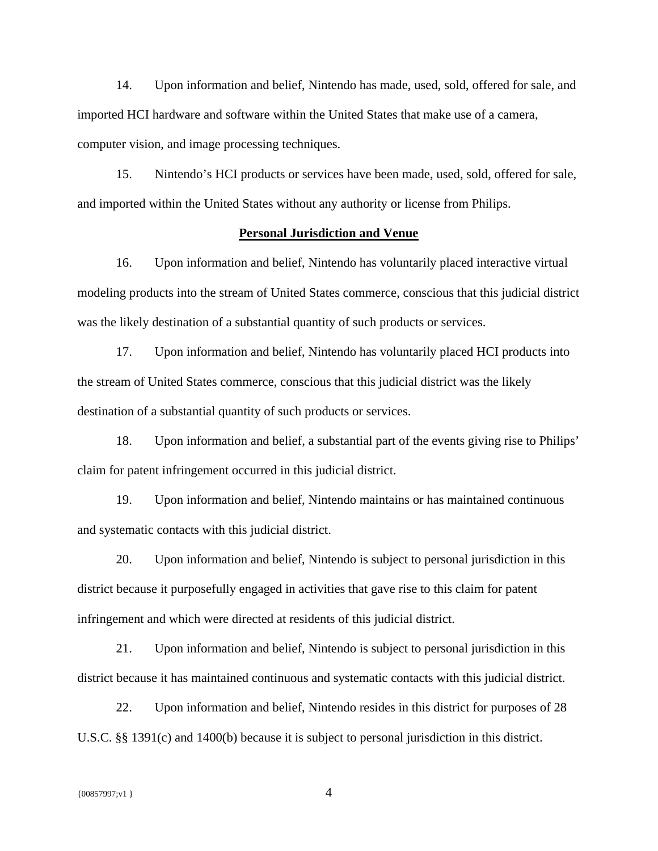14. Upon information and belief, Nintendo has made, used, sold, offered for sale, and imported HCI hardware and software within the United States that make use of a camera, computer vision, and image processing techniques.

15. Nintendo's HCI products or services have been made, used, sold, offered for sale, and imported within the United States without any authority or license from Philips.

### **Personal Jurisdiction and Venue**

16. Upon information and belief, Nintendo has voluntarily placed interactive virtual modeling products into the stream of United States commerce, conscious that this judicial district was the likely destination of a substantial quantity of such products or services.

17. Upon information and belief, Nintendo has voluntarily placed HCI products into the stream of United States commerce, conscious that this judicial district was the likely destination of a substantial quantity of such products or services.

18. Upon information and belief, a substantial part of the events giving rise to Philips' claim for patent infringement occurred in this judicial district.

19. Upon information and belief, Nintendo maintains or has maintained continuous and systematic contacts with this judicial district.

20. Upon information and belief, Nintendo is subject to personal jurisdiction in this district because it purposefully engaged in activities that gave rise to this claim for patent infringement and which were directed at residents of this judicial district.

21. Upon information and belief, Nintendo is subject to personal jurisdiction in this district because it has maintained continuous and systematic contacts with this judicial district.

22. Upon information and belief, Nintendo resides in this district for purposes of 28 U.S.C. §§ 1391(c) and 1400(b) because it is subject to personal jurisdiction in this district.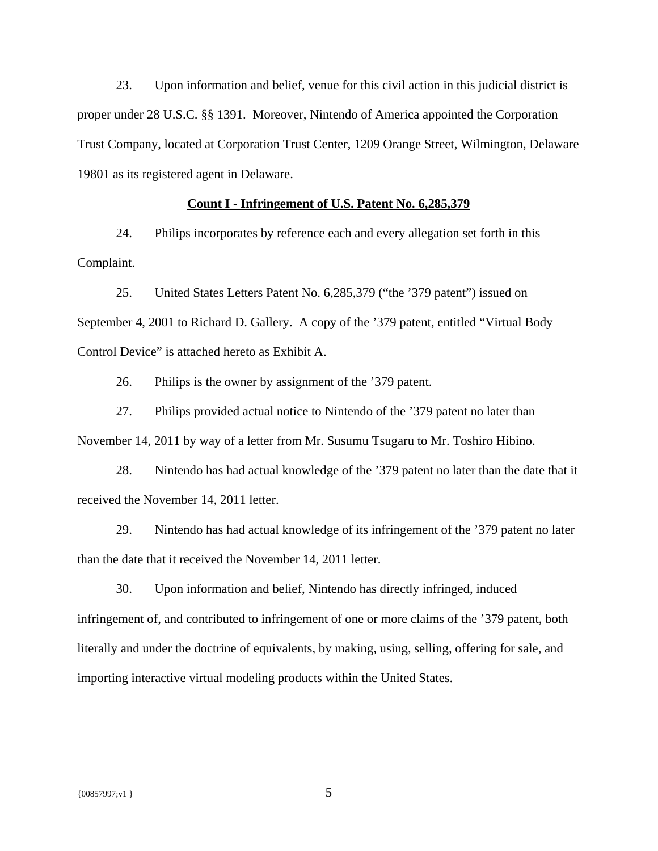23. Upon information and belief, venue for this civil action in this judicial district is proper under 28 U.S.C. §§ 1391. Moreover, Nintendo of America appointed the Corporation Trust Company, located at Corporation Trust Center, 1209 Orange Street, Wilmington, Delaware 19801 as its registered agent in Delaware.

### **Count I - Infringement of U.S. Patent No. 6,285,379**

24. Philips incorporates by reference each and every allegation set forth in this Complaint.

25. United States Letters Patent No. 6,285,379 ("the '379 patent") issued on September 4, 2001 to Richard D. Gallery. A copy of the '379 patent, entitled "Virtual Body Control Device" is attached hereto as Exhibit A.

26. Philips is the owner by assignment of the '379 patent.

27. Philips provided actual notice to Nintendo of the '379 patent no later than November 14, 2011 by way of a letter from Mr. Susumu Tsugaru to Mr. Toshiro Hibino.

28. Nintendo has had actual knowledge of the '379 patent no later than the date that it received the November 14, 2011 letter.

29. Nintendo has had actual knowledge of its infringement of the '379 patent no later than the date that it received the November 14, 2011 letter.

30. Upon information and belief, Nintendo has directly infringed, induced infringement of, and contributed to infringement of one or more claims of the '379 patent, both literally and under the doctrine of equivalents, by making, using, selling, offering for sale, and importing interactive virtual modeling products within the United States.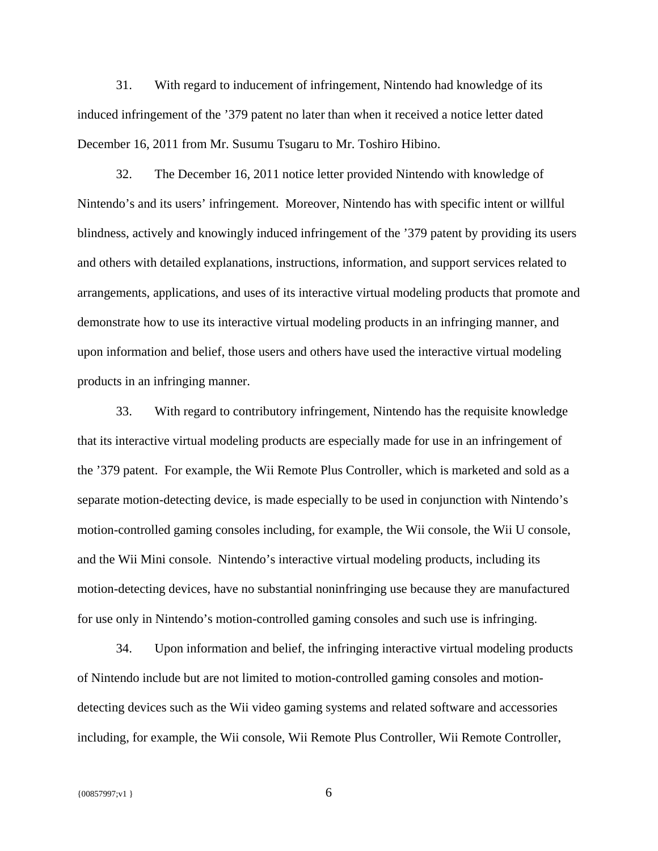31. With regard to inducement of infringement, Nintendo had knowledge of its induced infringement of the '379 patent no later than when it received a notice letter dated December 16, 2011 from Mr. Susumu Tsugaru to Mr. Toshiro Hibino.

32. The December 16, 2011 notice letter provided Nintendo with knowledge of Nintendo's and its users' infringement. Moreover, Nintendo has with specific intent or willful blindness, actively and knowingly induced infringement of the '379 patent by providing its users and others with detailed explanations, instructions, information, and support services related to arrangements, applications, and uses of its interactive virtual modeling products that promote and demonstrate how to use its interactive virtual modeling products in an infringing manner, and upon information and belief, those users and others have used the interactive virtual modeling products in an infringing manner.

33. With regard to contributory infringement, Nintendo has the requisite knowledge that its interactive virtual modeling products are especially made for use in an infringement of the '379 patent. For example, the Wii Remote Plus Controller, which is marketed and sold as a separate motion-detecting device, is made especially to be used in conjunction with Nintendo's motion-controlled gaming consoles including, for example, the Wii console, the Wii U console, and the Wii Mini console. Nintendo's interactive virtual modeling products, including its motion-detecting devices, have no substantial noninfringing use because they are manufactured for use only in Nintendo's motion-controlled gaming consoles and such use is infringing.

34. Upon information and belief, the infringing interactive virtual modeling products of Nintendo include but are not limited to motion-controlled gaming consoles and motiondetecting devices such as the Wii video gaming systems and related software and accessories including, for example, the Wii console, Wii Remote Plus Controller, Wii Remote Controller,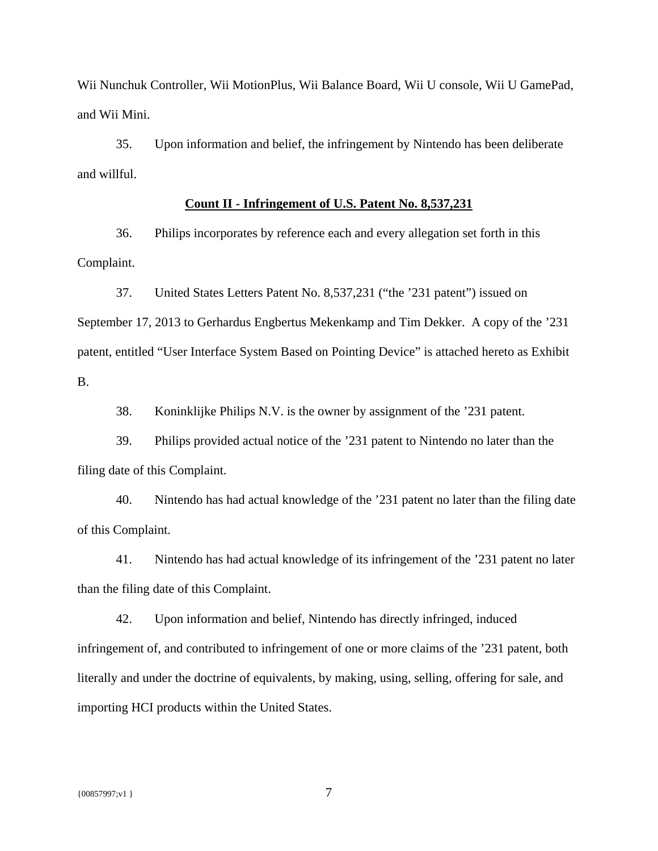Wii Nunchuk Controller, Wii MotionPlus, Wii Balance Board, Wii U console, Wii U GamePad, and Wii Mini.

35. Upon information and belief, the infringement by Nintendo has been deliberate and willful.

### **Count II - Infringement of U.S. Patent No. 8,537,231**

36. Philips incorporates by reference each and every allegation set forth in this Complaint.

37. United States Letters Patent No. 8,537,231 ("the '231 patent") issued on September 17, 2013 to Gerhardus Engbertus Mekenkamp and Tim Dekker. A copy of the '231 patent, entitled "User Interface System Based on Pointing Device" is attached hereto as Exhibit B.

38. Koninklijke Philips N.V. is the owner by assignment of the '231 patent.

39. Philips provided actual notice of the '231 patent to Nintendo no later than the filing date of this Complaint.

40. Nintendo has had actual knowledge of the '231 patent no later than the filing date of this Complaint.

41. Nintendo has had actual knowledge of its infringement of the '231 patent no later than the filing date of this Complaint.

42. Upon information and belief, Nintendo has directly infringed, induced infringement of, and contributed to infringement of one or more claims of the '231 patent, both literally and under the doctrine of equivalents, by making, using, selling, offering for sale, and importing HCI products within the United States.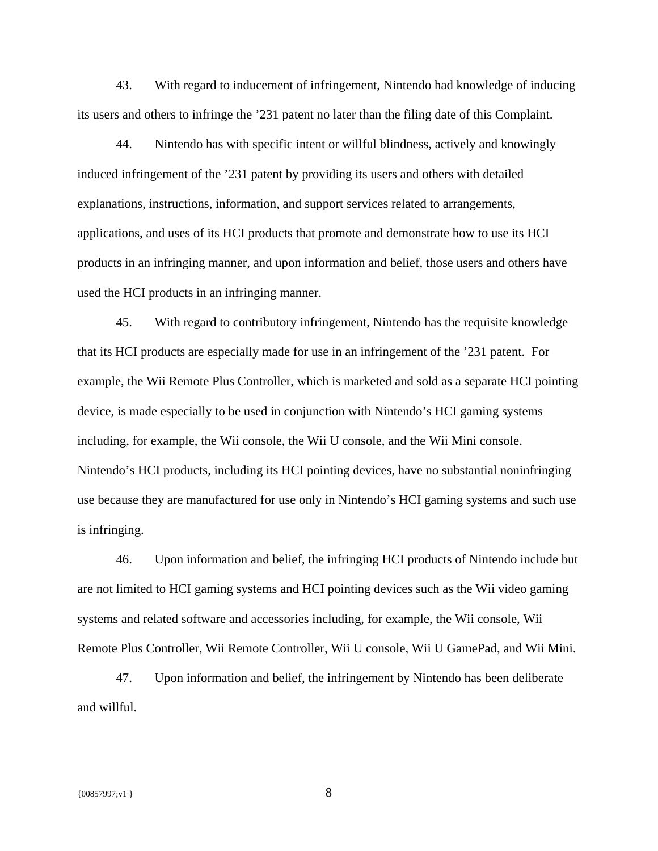43. With regard to inducement of infringement, Nintendo had knowledge of inducing its users and others to infringe the '231 patent no later than the filing date of this Complaint.

44. Nintendo has with specific intent or willful blindness, actively and knowingly induced infringement of the '231 patent by providing its users and others with detailed explanations, instructions, information, and support services related to arrangements, applications, and uses of its HCI products that promote and demonstrate how to use its HCI products in an infringing manner, and upon information and belief, those users and others have used the HCI products in an infringing manner.

45. With regard to contributory infringement, Nintendo has the requisite knowledge that its HCI products are especially made for use in an infringement of the '231 patent. For example, the Wii Remote Plus Controller, which is marketed and sold as a separate HCI pointing device, is made especially to be used in conjunction with Nintendo's HCI gaming systems including, for example, the Wii console, the Wii U console, and the Wii Mini console. Nintendo's HCI products, including its HCI pointing devices, have no substantial noninfringing use because they are manufactured for use only in Nintendo's HCI gaming systems and such use is infringing.

46. Upon information and belief, the infringing HCI products of Nintendo include but are not limited to HCI gaming systems and HCI pointing devices such as the Wii video gaming systems and related software and accessories including, for example, the Wii console, Wii Remote Plus Controller, Wii Remote Controller, Wii U console, Wii U GamePad, and Wii Mini.

47. Upon information and belief, the infringement by Nintendo has been deliberate and willful.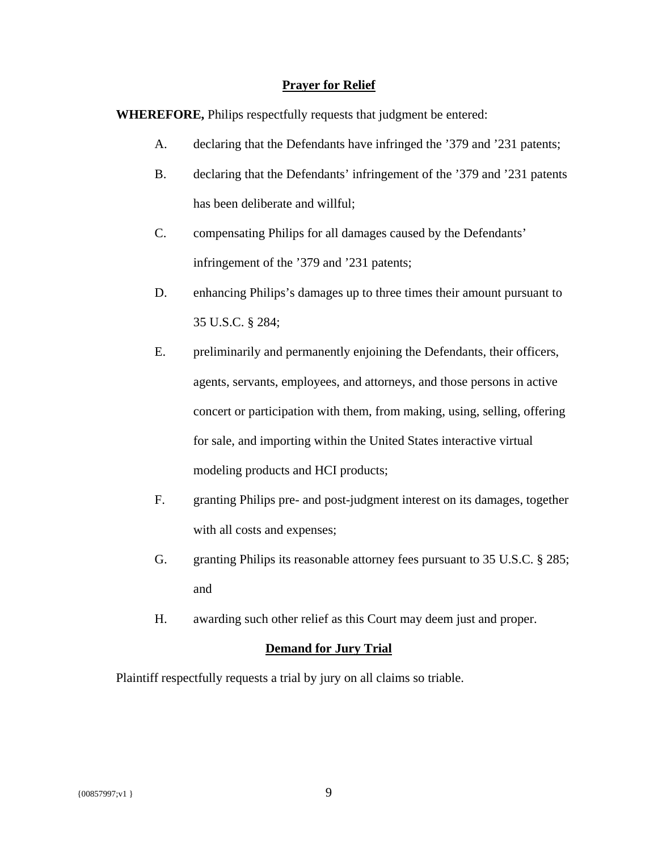### **Prayer for Relief**

**WHEREFORE,** Philips respectfully requests that judgment be entered:

- A. declaring that the Defendants have infringed the '379 and '231 patents;
- B. declaring that the Defendants' infringement of the '379 and '231 patents has been deliberate and willful;
- C. compensating Philips for all damages caused by the Defendants' infringement of the '379 and '231 patents;
- D. enhancing Philips's damages up to three times their amount pursuant to 35 U.S.C. § 284;
- E. preliminarily and permanently enjoining the Defendants, their officers, agents, servants, employees, and attorneys, and those persons in active concert or participation with them, from making, using, selling, offering for sale, and importing within the United States interactive virtual modeling products and HCI products;
- F. granting Philips pre- and post-judgment interest on its damages, together with all costs and expenses;
- G. granting Philips its reasonable attorney fees pursuant to 35 U.S.C. § 285; and
- H. awarding such other relief as this Court may deem just and proper.

## **Demand for Jury Trial**

Plaintiff respectfully requests a trial by jury on all claims so triable.